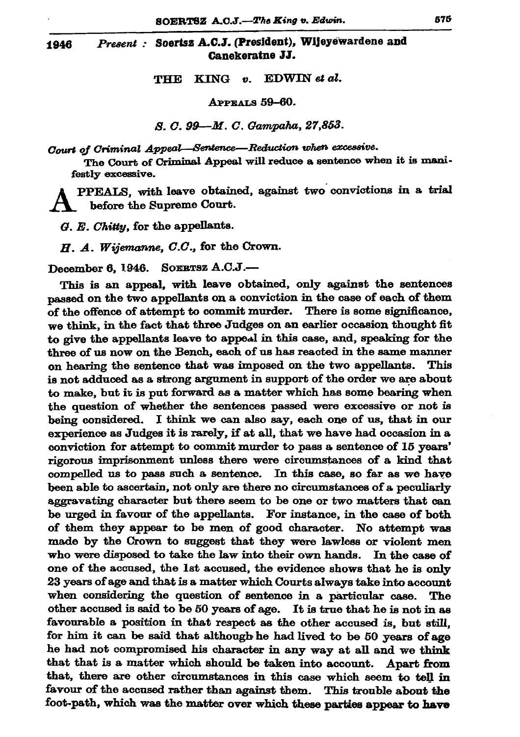1946

## Soertsz A.C.J. (President), Wijeyewardene and Present : Canekeratne JJ.

EDWIN et al. THE **KING**  $\boldsymbol{v}$ .

APPEALS 59-60.

S. C. 99—M. C. Gampaha, 27,853.

Court of Criminal Appeal—Sentence—Reduction when excessive.

The Court of Criminal Appeal will reduce a sentence when it is manifestly excessive.

PPEALS, with leave obtained, against two convictions in a trial before the Supreme Court.

G. E. Chitty, for the appellants.

 $H. A.$  Wijemanne,  $C.C.$ , for the Crown.

December 6, 1946. SOERTSZ A.C.J.-

This is an appeal, with leave obtained, only against the sentences passed on the two appellants on a conviction in the case of each of them of the offence of attempt to commit murder. There is some significance, we think, in the fact that three Judges on an earlier occasion thought fit to give the appellants leave to appeal in this case, and, speaking for the three of us now on the Bench, each of us has reacted in the same manner on hearing the sentence that was imposed on the two appellants. This is not adduced as a strong argument in support of the order we are about to make, but it is put forward as a matter which has some bearing when the question of whether the sentences passed were excessive or not is being considered. I think we can also say, each one of us, that in our experience as Judges it is rarely, if at all, that we have had occasion in a conviction for attempt to commit murder to pass a sentence of 15 years' rigorous imprisonment unless there were circumstances of a kind that compelled us to pass such a sentence. In this case, so far as we have been able to ascertain, not only are there no circumstances of a peculiarly aggravating character but there seem to be one or two matters that can be urged in favour of the appellants. For instance, in the case of both of them they appear to be men of good character. No attempt was made by the Crown to suggest that they were lawless or violent men who were disposed to take the law into their own hands. In the case of one of the accused, the 1st accused, the evidence shows that he is only 23 years of age and that is a matter which Courts always take into account when considering the question of sentence in a particular case. The other accused is said to be 50 years of age. It is true that he is not in as favourable a position in that respect as the other accused is, but still, for him it can be said that although he had lived to be 50 years of age he had not compromised his character in any way at all and we think that that is a matter which should be taken into account. Apart from that, there are other circumstances in this case which seem to tell in favour of the accused rather than against them. This trouble about the foot-path, which was the matter over which these parties appear to have